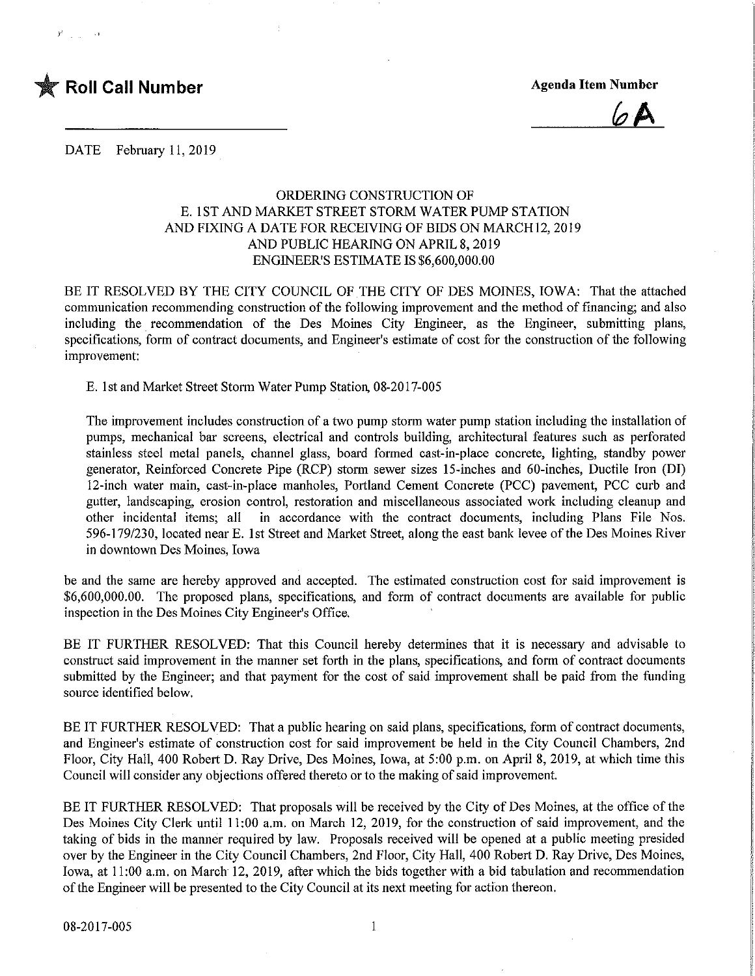

 $\gamma_{\rm{max}} = 1.9$ 

 $6A$ 

DATE February 11, 2019

## ORDERING CONSTRUCTION OF E. 1 ST AND MARKET STREET STORM WATER PUMP STATION AND FIXING A DATE FOR RECEIVING OF BIDS ON MARCH 12, 2019 AND PUBLIC HEARING ON APRIL 8, 2019 ENGINEER'S ESTIMATE IS \$6,600,000.00

BE IT RESOLVED BY THE CITY COUNCIL OF THE CITY OF DES MOINES, IOWA: That the attached communication recommending construction of the following improvement and the method of financing; and also including the recommendation of the Des Moines City Engineer, as the Engineer, submitting plans, specifications, form of contract documents, and Engineer's estimate of cost for the construction of the following improvement:

E. 1st and Market Street Storm Water Pump Station, 08-2017-005

The improvement includes construction of a two pump storm water pump station including the installation of pumps, mechanical bar screens, electrical and controls building, architectural features such as perforated stainless steel metal panels, channel glass, board formed cast-in-place concrete, lighting, standby power generator, Reinforced Concrete Pipe (RCP) storm sewer sizes 15-inches and 60-inches, Ductile Iron (DI) 12-inch water main, cast-in-place manholes, Portland Cement Concrete (PCC) pavement, PCC curb and gutter, landscaping, erosion control, restoration and miscellaneous associated work including cleanup and other incidental items; all in accordance with the contract documents, including Plans File Nos. 596-179/230, located near E. 1st Street and Market Street, along the east bank levee of the Des Moines River in downtown Des Moines, Iowa

be and the same are hereby approved and accepted. The estimated construction cost for said improvement is \$6,600,000.00. The proposed plans, specifications, and form of contract documents are available for public inspection in the Des Moines City Engineer's Office.

BE IT FURTHER RESOLVED: That this Council hereby determines that it is necessary and advisable to construct said improvement in the manner set forth in the plans, specifications, and form of contract documents submitted by the Engineer; and that payment for the cost of said improvement shall be paid from the funding source identified below.

BE IT FURTHER RESOLVED: That a public hearing on said plans, specifications, form of contract documents, and Engineer's estimate of construction cost for said improvement be held in the City Council Chambers, 2nd Floor, City Hall, 400 Robert D. Ray Drive, Des Moines, Iowa, at 5:00 p.m. on April 8, 2019, at which time this Council will consider any objections offered thereto or to the making of said improvement.

BE IT FURTHER RESOLVED: That proposals will be received by the City of Des Moines, at the office of the Des Moines City Clerk until 11:00 a.m. on March 12, 2019, for the construction of said improvement, and the taking of bids in the manner required by law. Proposals received will be opened at a public meeting presided over by the Engineer in the City Council Chambers, 2nd Floor, City Hall, 400 Robert D. Ray Drive, Des Moines, Iowa, at 11:00 a.m. on March 12, 2019, after which the bids together with a bid tabulation and recommendation of the Engineer will be presented to the City Council at its next meeting for action thereon. 08-2017-005 1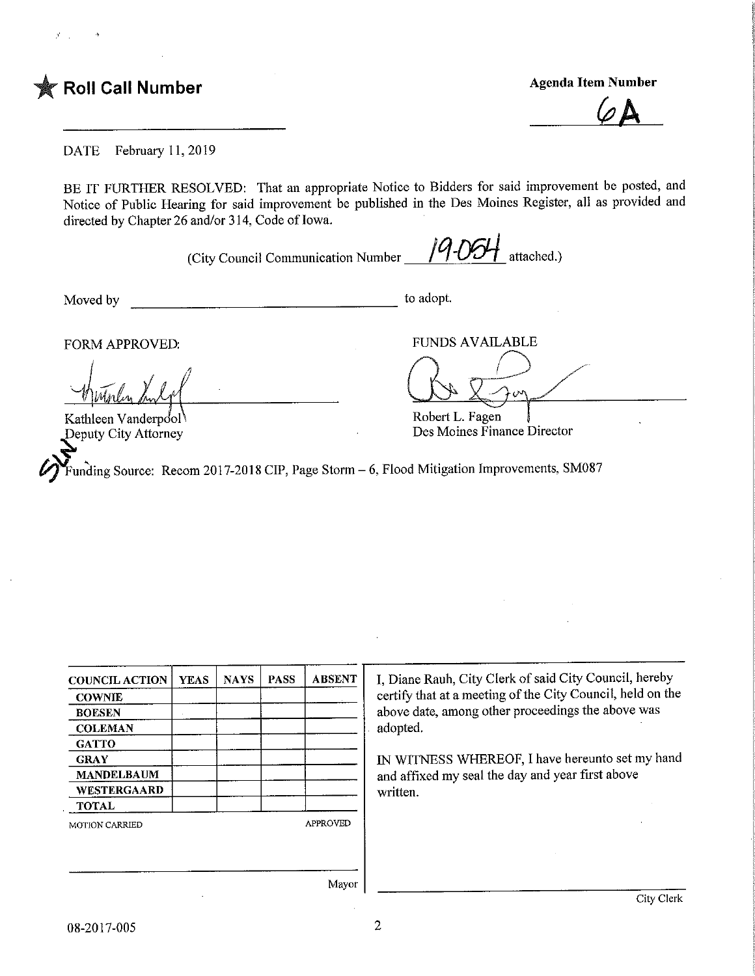

DATE February 11,2019

BE IT FURTHER RESOLVED: That an appropriate Notice to Bidders for said improvement be posted, and Notice of Public Hearing for said improvement be published in the Des Moines Register, all as provided and directed by Chapter 26 and/or 314, Code of Iowa.

(City Council Communication Number  $\frac{19.06H}{\text{attached.}}$  attached.)

Moved by to adopt.

FORM APPROVED: FUNDS AVAILABLE

Kathleen Vanderpool ^Deputy City Attorney

Robert L. Fagen Des Moines Finance Director

Funding Source: Recom 2017-2018 CIP, Page Storm  $-6$ , Flood Mitigation Improvements, SM087

| <b>COUNCIL ACTION</b> | <b>YEAS</b> | <b>NAYS</b> | <b>PASS</b> | <b>ABSENT</b>   |
|-----------------------|-------------|-------------|-------------|-----------------|
| <b>COWNIE</b>         |             |             |             |                 |
| <b>BOESEN</b>         |             |             |             |                 |
| <b>COLEMAN</b>        |             |             |             |                 |
| <b>GATTO</b>          |             |             |             |                 |
| <b>GRAY</b>           |             |             |             |                 |
| <b>MANDELBAUM</b>     |             |             |             |                 |
| WESTERGAARD           |             |             |             |                 |
| <b>TOTAL</b>          |             |             |             |                 |
| <b>MOTION CARRIED</b> |             |             |             | <b>APPROVED</b> |
|                       |             |             |             |                 |
|                       |             |             |             |                 |

I, Diane Rauh, City Clerk of said City Council, hereby certify that at a meeting of the City Council, held on the above date, among other proceedings the above was adopted.

IN WITNESS WHEREOF, I have hereunto set my hand and affixed my seal the day and year first above written.

Mayor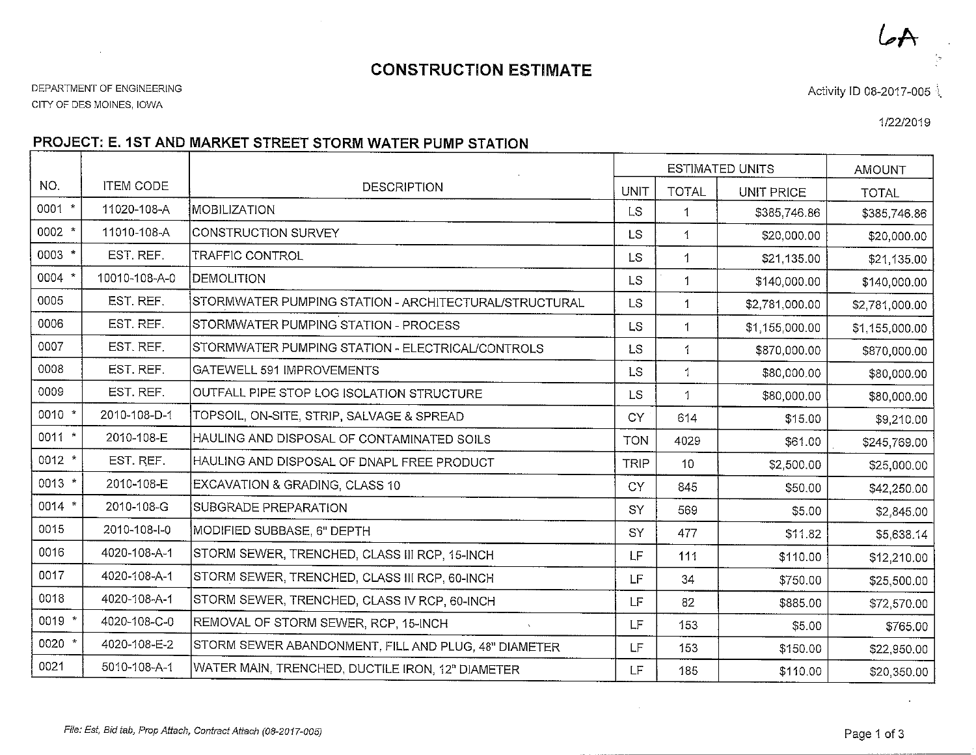## CONSTRUCTION ESTIMATE

CITY OF DES MOINES, IOWA

 $\sim$ 

Activity ID 08-2017-005

1/22/2019

 $\mathcal{A}$ 

## PROJECT: E. 1ST AND1ARKET STREET STORM WATER PUIVIP STATION

|          |                  |                                                       |             | <b>ESTIMATED UNITS</b> |                   | AMOUNT         |
|----------|------------------|-------------------------------------------------------|-------------|------------------------|-------------------|----------------|
| NO.      | <b>ITEM CODE</b> | <b>DESCRIPTION</b>                                    | <b>UNIT</b> | <b>TOTAL</b>           | <b>UNIT PRICE</b> | <b>TOTAL</b>   |
| $0001$ * | 11020-108-A      | MOBILIZATION                                          | <b>LS</b>   | $\mathbf{1}$           | \$385,746.86      | \$385,746.86   |
| $0002$ * | 11010-108-A      | CONSTRUCTION SURVEY                                   | LS.         | $\left\{ \right.$      | \$20,000.00       | \$20,000.00    |
| 0003 *   | EST. REF.        | TRAFFIC CONTROL                                       | <b>LS</b>   | 1                      | \$21,135.00       | \$21,135.00    |
| $0004$ * | 10010-108-A-0    | DEMOLITION                                            | <b>LS</b>   | $\mathbf{1}$           | \$140,000.00      | \$140,000.00   |
| 0005     | EST. REF.        | STORMWATER PUMPING STATION - ARCHITECTURAL/STRUCTURAL | <b>LS</b>   | $\mathbf{1}$           | \$2,781,000.00    | \$2,781,000.00 |
| 0006     | EST. REF.        | STORMWATER PUMPING STATION - PROCESS                  | LS.         | 1                      | \$1,155,000.00    | \$1,155,000.00 |
| 0007     | EST. REF.        | STORMWATER PUMPING STATION - ELECTRICAL/CONTROLS      | <b>LS</b>   | 1                      | \$870,000.00      | \$870,000.00   |
| 0008     | EST. REF.        | GATEWELL 591 IMPROVEMENTS                             | <b>LS</b>   | $\mathbf{1}$           | \$80,000.00       | \$80,000.00    |
| 0009     | EST. REF.        | OUTFALL PIPE STOP LOG ISOLATION STRUCTURE             | <b>LS</b>   | $\mathbf{1}$           | \$80,000.00       | \$80,000.00    |
| $0010$ * | 2010-108-D-1     | TOPSOIL, ON-SITE, STRIP, SALVAGE & SPREAD             | CY          | 614                    | \$15.00           | \$9,210.00     |
| 0011 *   | 2010-108-E       | HAULING AND DISPOSAL OF CONTAMINATED SOILS            | <b>TON</b>  | 4029                   | \$61.00           | \$245,769.00   |
| $0012$ * | EST. REF.        | HAULING AND DISPOSAL OF DNAPL FREE PRODUCT            | <b>TRIP</b> | 10 <sup>°</sup>        | \$2,500.00        | \$25,000.00    |
| 0013 *   | 2010-108-E       | EXCAVATION & GRADING, CLASS 10                        | <b>CY</b>   | 845                    | \$50.00           | \$42,250.00    |
| $0014$ * | 2010-108-G       | SUBGRADE PREPARATION                                  | SY          | 569                    | \$5.00            | \$2,845.00     |
| 0015     | 2010-108-I-0     | MODIFIED SUBBASE, 6" DEPTH                            | SY          | 477                    | \$11.82           | \$5,638.14     |
| 0016     | 4020-108-A-1     | STORM SEWER, TRENCHED, CLASS III RCP, 15-INCH         | LF.         | 111                    | \$110.00          | \$12,210.00    |
| 0017     | 4020-108-A-1     | STORM SEWER, TRENCHED, CLASS III RCP, 60-INCH         | LF          | 34                     | \$750.00          | \$25,500.00    |
| 0018     | 4020-108-A-1     | STORM SEWER, TRENCHED, CLASS IV RCP, 60-INCH          | LF          | 82                     | \$885.00          | \$72,570.00    |
| 0019 *   | 4020-108-C-0     | REMOVAL OF STORM SEWER, RCP, 15-INCH                  | LF          | 153                    | \$5.00            | \$765.00       |
| 0020 *   | 4020-108-E-2     | STORM SEWER ABANDONMENT, FILL AND PLUG, 48" DIAMETER  | LF          | 153                    | \$150.00          | \$22,950.00    |
| 0021     | 5010-108-A-1     | WATER MAIN, TRENCHED, DUCTILE IRON, 12" DIAMETER      | LF          | 185                    | \$110.00          | \$20,350.00    |

 $\sim$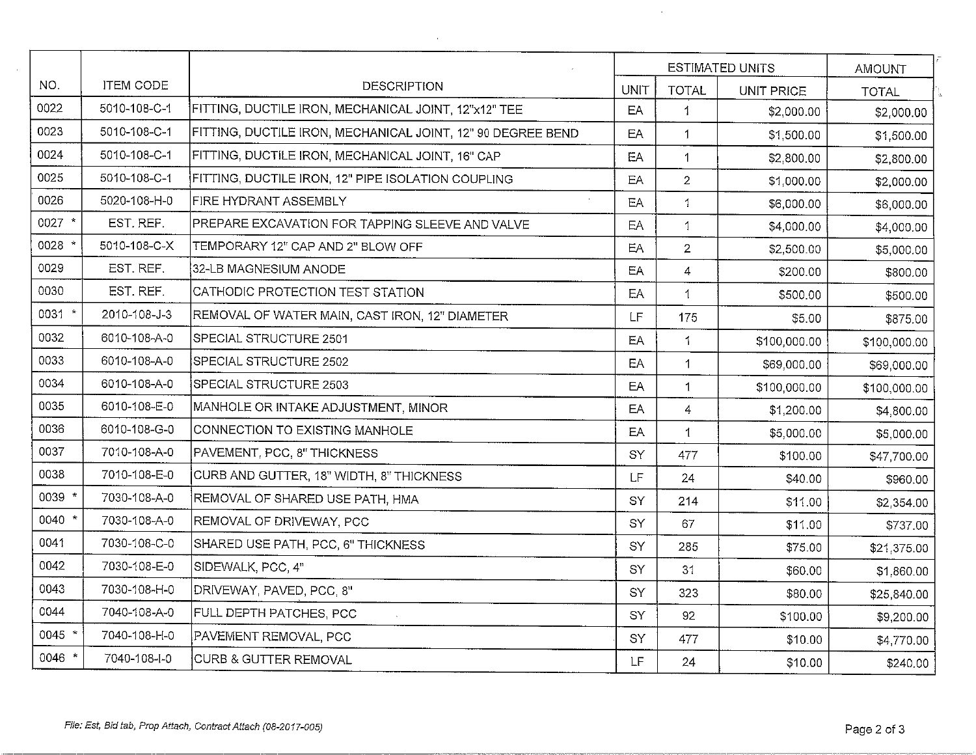|          |                  |                                                             |             |                | <b>ESTIMATED UNITS</b> | AMOUNT       |
|----------|------------------|-------------------------------------------------------------|-------------|----------------|------------------------|--------------|
| NO.      | <b>ITEM CODE</b> | DESCRIPTION                                                 | <b>UNIT</b> | <b>TOTAL</b>   | UNIT PRICE             | <b>TOTAL</b> |
| 0022     | 5010-108-C-1     | FITTING, DUCTILE IRON, MECHANICAL JOINT, 12"x12" TEE        | EA          | 1              | \$2,000.00             | \$2,000.00   |
| 0023     | 5010-108-C-1     | FITTING, DUCTILE IRON, MECHANICAL JOINT, 12" 90 DEGREE BEND | EA          | $\mathbf{1}$   | \$1,500.00             | \$1,500.00   |
| 0024     | 5010-108-C-1     | FITTING, DUCTILE IRON, MECHANICAL JOINT, 16" CAP            | EA          | $\mathbf{1}$   | \$2,800.00             | \$2,800.00   |
| 0025     | 5010-108-C-1     | FITTING, DUCTILE IRON, 12" PIPE ISOLATION COUPLING          | EA          | $\overline{2}$ | \$1,000.00             | \$2,000.00   |
| 0026     | 5020-108-H-0     | <b>FIRE HYDRANT ASSEMBLY</b>                                | EA          | $\mathbf{1}$   | \$6,000.00             | \$6,000.00   |
| $0027$ * | EST. REF.        | PREPARE EXCAVATION FOR TAPPING SLEEVE AND VALVE             | EA          | $\mathbf{1}$   | \$4,000.00             | \$4,000.00   |
| 0028 *   | 5010-108-C-X     | TEMPORARY 12" CAP AND 2" BLOW OFF                           | EA          | $\overline{2}$ | \$2,500.00             | \$5,000.00   |
| 0029     | EST. REF.        | 32-LB MAGNESIUM ANODE                                       | EA          | 4              | \$200.00               | \$800.00     |
| 0030     | EST. REF.        | CATHODIC PROTECTION TEST STATION                            | EA          | 1              | \$500.00               | \$500.00     |
| 0031 *   | 2010-108-J-3     | REMOVAL OF WATER MAIN, CAST IRON, 12" DIAMETER              | LF          | 175            | \$5.00                 | \$875.00     |
| 0032     | 6010-108-A-0     | SPECIAL STRUCTURE 2501                                      | EA          | 1              | \$100,000.00           | \$100,000.00 |
| 0033     | 6010-108-A-0     | SPECIAL STRUCTURE 2502                                      | EA          | 1              | \$69,000.00            | \$69,000.00  |
| 0034     | 6010-108-A-0     | SPECIAL STRUCTURE 2503                                      | EA          | 1              | \$100,000.00           | \$100,000.00 |
| 0035     | 6010-108-E-0     | MANHOLE OR INTAKE ADJUSTMENT, MINOR                         | EA          | $\overline{4}$ | \$1,200.00             | \$4,800.00   |
| 0036     | 6010-108-G-0     | CONNECTION TO EXISTING MANHOLE                              | EA          | 1              | \$5,000.00             | \$5,000.00   |
| 0037     | 7010-108-A-0     | PAVEMENT, PCC, 8" THICKNESS                                 | SY          | 477            | \$100.00               | \$47,700.00  |
| 0038     | 7010-108-E-0     | CURB AND GUTTER, 18" WIDTH, 8" THICKNESS                    | LF          | 24             | \$40.00                | \$960.00     |
| 0039 *   | 7030-108-A-0     | REMOVAL OF SHARED USE PATH, HMA                             | SY          | 214            | \$11.00                | \$2,354.00   |
| $0040$ * | 7030-108-A-0     | REMOVAL OF DRIVEWAY, PCC                                    | SY          | 67             | \$11.00                | \$737.00     |
| 0041     | 7030-108-C-0     | SHARED USE PATH, PCC, 6" THICKNESS                          | SY          | 285            | \$75.00                | \$21,375.00  |
| 0042     | 7030-108-E-0     | SIDEWALK, PCC, 4"                                           | SY          | 31             | \$60.00                | \$1,860.00   |
| 0043     | 7030-108-H-0     | DRIVEWAY, PAVED, PCC, 8"                                    | <b>SY</b>   | 323            | \$80.00                | \$25,840.00  |
| 0044     | 7040-108-A-0     | FULL DEPTH PATCHES, PCC                                     | SY          | 92             | \$100.00               | \$9,200.00   |
| 0045 *   | 7040-108-H-0     | PAVEMENT REMOVAL, PCC                                       | SY          | 477            | \$10.00                | \$4,770.00   |
| 0046 *   | 7040-108-I-0     | CURB & GUTTER REMOVAL                                       | LF          | 24             | \$10.00                | \$240.00     |
|          |                  |                                                             |             |                |                        |              |

 $\lambda$ 

 $\sim$ 

 $\sim$